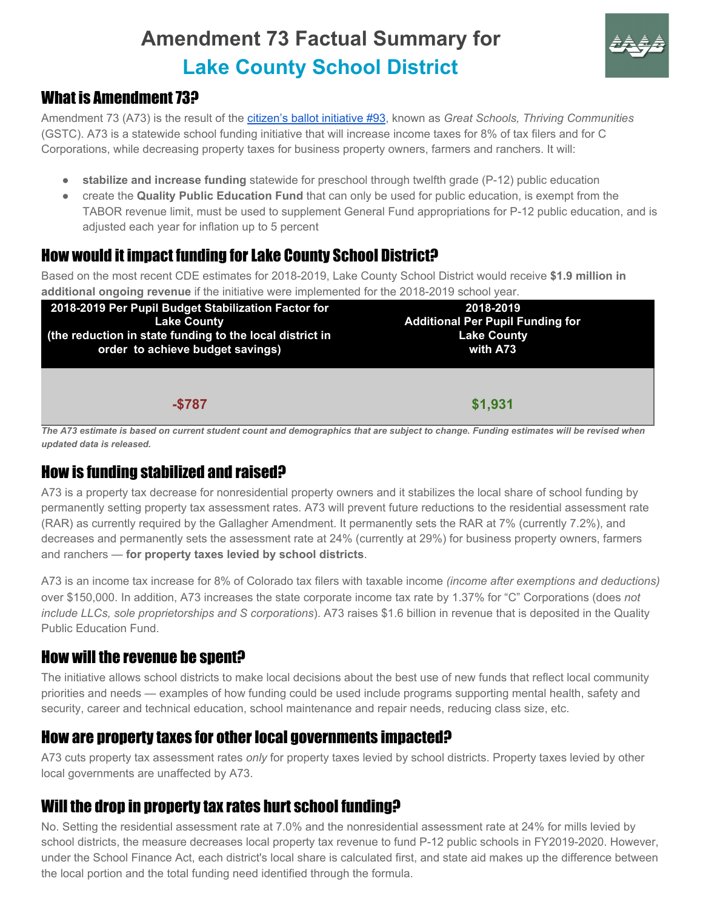# **Amendment 73 Factual Summary for Lake County School District**



# What is Amendment 73?

Amendment 73 (A73) is the result of the citizen's ballot [initiative](http://www.sos.state.co.us/pubs/elections/Initiatives/titleBoard/filings/2017-2018/93Final.pdf) #93, known as *Great Schools, Thriving Communities* (GSTC). A73 is a statewide school funding initiative that will increase income taxes for 8% of tax filers and for C Corporations, while decreasing property taxes for business property owners, farmers and ranchers. It will:

- **stabilize and increase funding** statewide for preschool through twelfth grade (P-12) public education
- create the **Quality Public Education Fund** that can only be used for public education, is exempt from the TABOR revenue limit, must be used to supplement General Fund appropriations for P-12 public education, and is adjusted each year for inflation up to 5 percent

# How would it impact funding for Lake County School District?

Based on the most recent CDE estimates for 2018-2019, Lake County School District would receive **\$1.9 million in additional ongoing revenue** if the initiative were implemented for the 2018-2019 school year.

| 2018-2019 Per Pupil Budget Stabilization Factor for      | 2018-2019                               |  |
|----------------------------------------------------------|-----------------------------------------|--|
| <b>Lake County</b>                                       | <b>Additional Per Pupil Funding for</b> |  |
| (the reduction in state funding to the local district in | <b>Lake County</b>                      |  |
| order to achieve budget savings)                         | with A73                                |  |
| $-$787$                                                  | \$1,931                                 |  |

The A73 estimate is based on current student count and demographics that are subject to change. Funding estimates will be revised when *updated data is released.*

### How is funding stabilized and raised?

A73 is a property tax decrease for nonresidential property owners and it stabilizes the local share of school funding by permanently setting property tax assessment rates. A73 will prevent future reductions to the residential assessment rate (RAR) as currently required by the Gallagher Amendment. It permanently sets the RAR at 7% (currently 7.2%), and decreases and permanently sets the assessment rate at 24% (currently at 29%) for business property owners, farmers and ranchers — **for property taxes levied by school districts**.

A73 is an income tax increase for 8% of Colorado tax filers with taxable income *(income after exemptions and deductions)* over \$150,000. In addition, A73 increases the state corporate income tax rate by 1.37% for "C" Corporations (does *not include LLCs, sole proprietorships and S corporations*). A73 raises \$1.6 billion in revenue that is deposited in the Quality Public Education Fund.

# How will the revenue be spent?

The initiative allows school districts to make local decisions about the best use of new funds that reflect local community priorities and needs — examples of how funding could be used include programs supporting mental health, safety and security, career and technical education, school maintenance and repair needs, reducing class size, etc.

#### How are property taxes for other local governments impacted?

A73 cuts property tax assessment rates *only* for property taxes levied by school districts. Property taxes levied by other local governments are unaffected by A73.

### Will the drop in property tax rates hurt school funding?

No. Setting the residential assessment rate at 7.0% and the nonresidential assessment rate at 24% for mills levied by school districts, the measure decreases local property tax revenue to fund P-12 public schools in FY2019-2020. However, under the School Finance Act, each district's local share is calculated first, and state aid makes up the difference between the local portion and the total funding need identified through the formula.